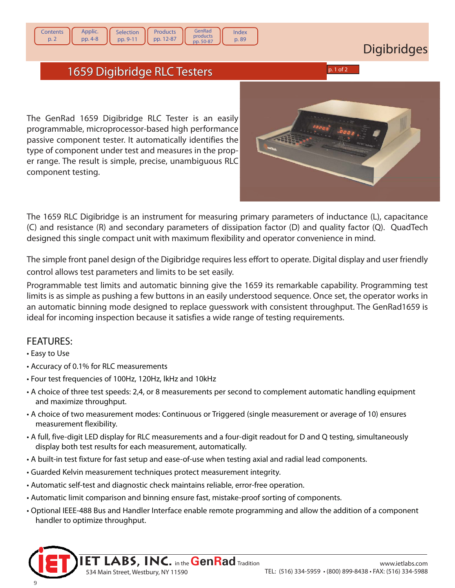## 1659 Digibridge RLC Testers 659 p. 1 of 2

**Products** pp. 12-87

GenRad products pp. 50-87

Index p. 89

**Selection** pp. 9-11

The GenRad 1659 Digibridge RLC Tester is an easily programmable, microprocessor-based high performance passive component tester. It automatically identifies the type of component under test and measures in the proper range. The result is simple, precise, unambiguous RLC component testing.

The 1659 RLC Digibridge is an instrument for measuring primary parameters of inductance (L), capacitance (C) and resistance (R) and secondary parameters of dissipation factor (D) and quality factor (Q). QuadTech designed this single compact unit with maximum flexibility and operator convenience in mind.

The simple front panel design of the Digibridge requires less effort to operate. Digital display and user friendly control allows test parameters and limits to be set easily.

Programmable test limits and automatic binning give the 1659 its remarkable capability. Programming test limits is as simple as pushing a few buttons in an easily understood sequence. Once set, the operator works in an automatic binning mode designed to replace guesswork with consistent throughput. The GenRad1659 is ideal for incoming inspection because it satisfies a wide range of testing requirements.

## FEATURES:

- Easy to Use
- Accuracy of 0.1% for RLC measurements
- Four test frequencies of 100Hz, 120Hz, lkHz and 10kHz
- A choice of three test speeds: 2,4, or 8 measurements per second to complement automatic handling equipment and maximize throughput.
- A choice of two measurement modes: Continuous or Triggered (single measurement or average of 10) ensures measurement flexibility.
- A full, five-digit LED display for RLC measurements and a four-digit readout for D and Q testing, simultaneously display both test results for each measurement, automatically.
- A built-in test fixture for fast setup and ease-of-use when testing axial and radial lead components.
- Guarded Kelvin measurement techniques protect measurement integrity.

534 Main Street, Westbury, NY 11590

- Automatic self-test and diagnostic check maintains reliable, error-free operation.
- Automatic limit comparison and binning ensure fast, mistake-proof sorting of components.
- Optional IEEE-488 Bus and Handler Interface enable remote programming and allow the addition of a component handler to optimize throughput.

9



**Contents** p. 2

Applic. pp. 4-8